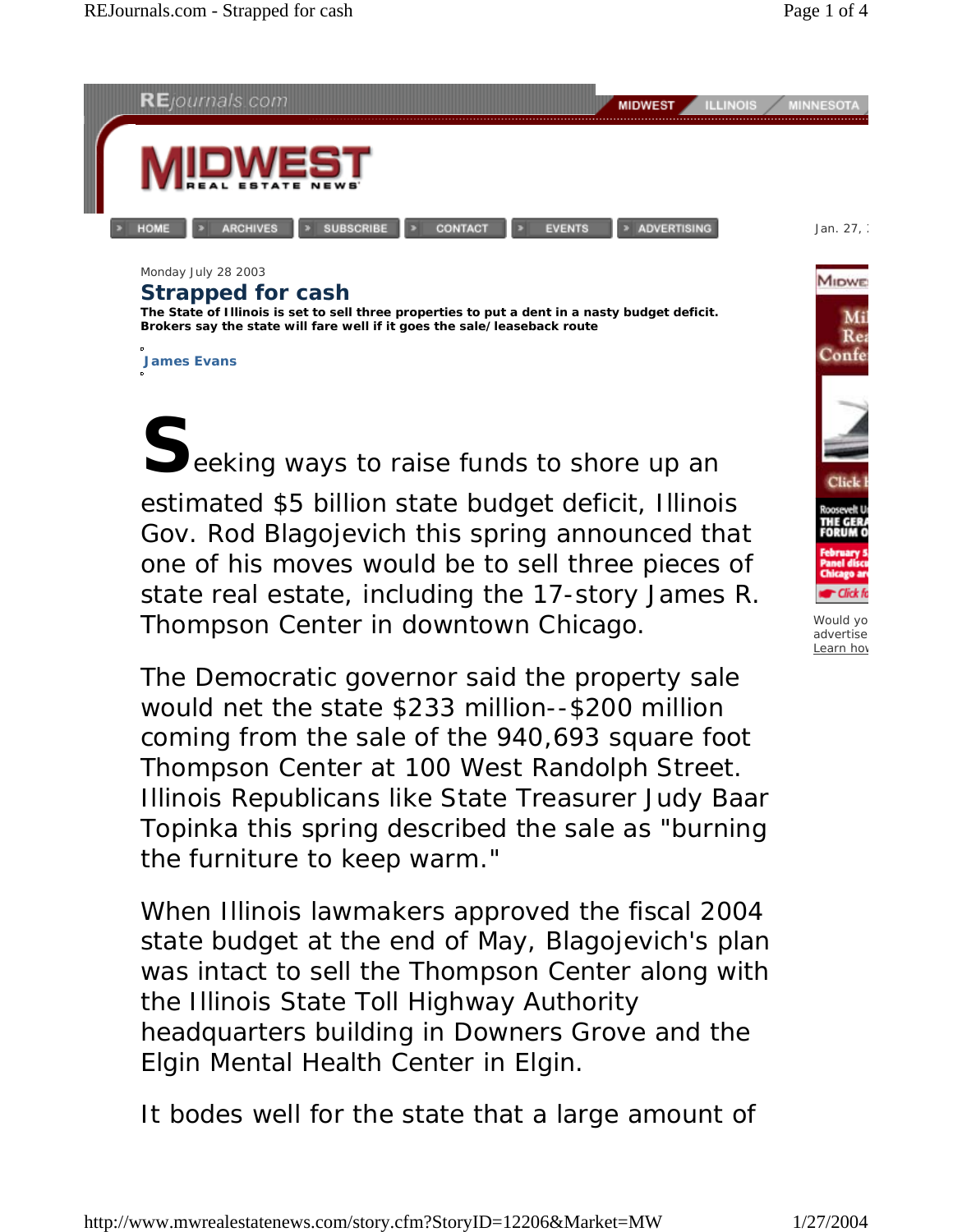

Monday July 28 2003

## **Strapped for cash**

**The State of Illinois is set to sell three properties to put a dent in a nasty budget deficit. Brokers say the state will fare well if it goes the sale/leaseback route**

**James Evans**

Seeking ways to raise funds to shore up an estimated \$5 billion state budget deficit, Illinois Gov. Rod Blagojevich this spring announced that one of his moves would be to sell three pieces of state real estate, including the 17-story James R. Thompson Center in downtown Chicago.

The Democratic governor said the property sale would net the state \$233 million--\$200 million coming from the sale of the 940,693 square foot Thompson Center at 100 West Randolph Street. Illinois Republicans like State Treasurer Judy Baar Topinka this spring described the sale as "burning the furniture to keep warm."

When Illinois lawmakers approved the fiscal 2004 state budget at the end of May, Blagojevich's plan was intact to sell the Thompson Center along with the Illinois State Toll Highway Authority headquarters building in Downers Grove and the Elgin Mental Health Center in Elgin.

It bodes well for the state that a large amount of



**MIDWE** 

Would yo advertise Learn how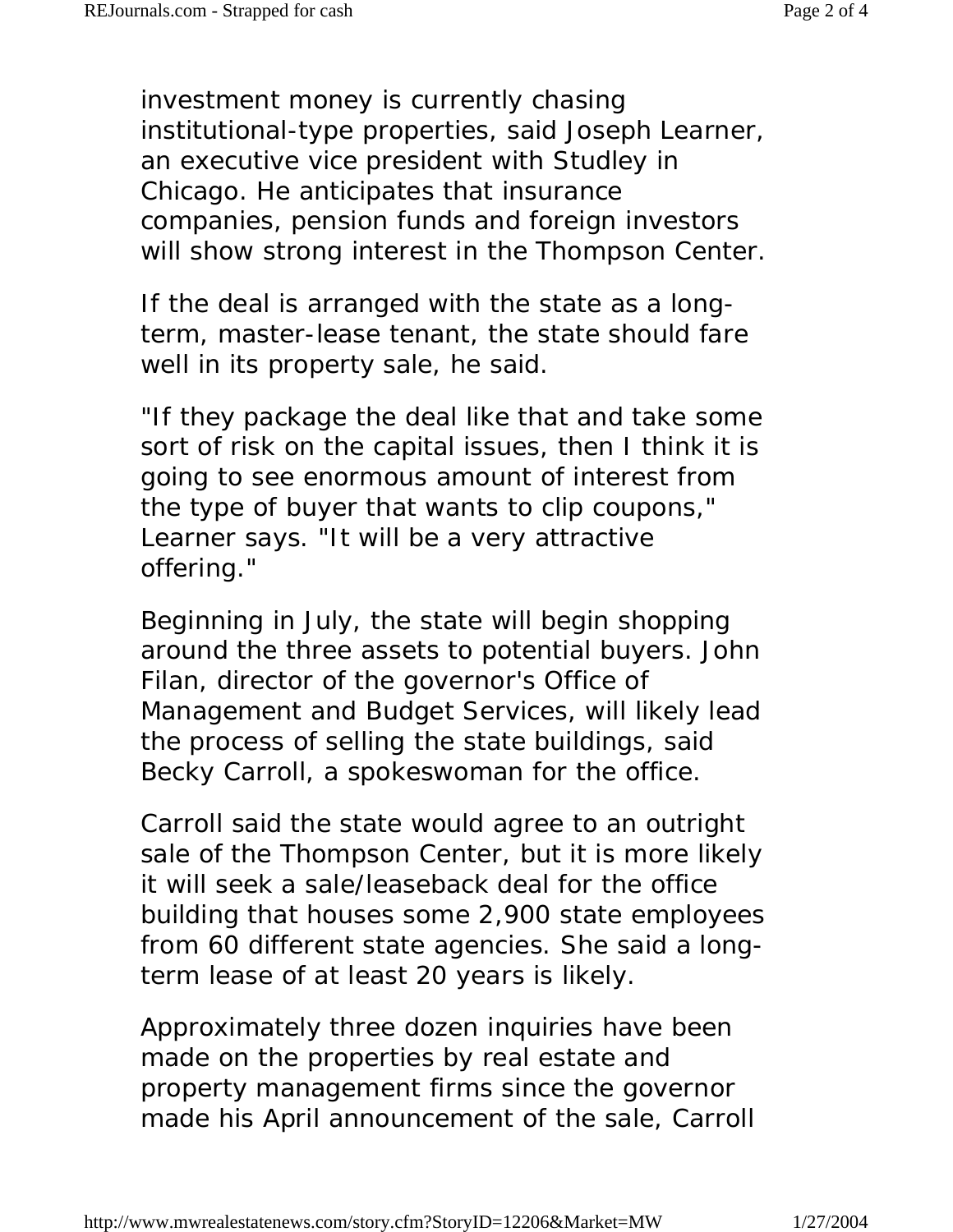investment money is currently chasing institutional-type properties, said Joseph Learner, an executive vice president with Studley in Chicago. He anticipates that insurance companies, pension funds and foreign investors will show strong interest in the Thompson Center.

If the deal is arranged with the state as a longterm, master-lease tenant, the state should fare well in its property sale, he said.

"If they package the deal like that and take some sort of risk on the capital issues, then I think it is going to see enormous amount of interest from the type of buyer that wants to clip coupons," Learner says. "It will be a very attractive offering."

Beginning in July, the state will begin shopping around the three assets to potential buyers. John Filan, director of the governor's Office of Management and Budget Services, will likely lead the process of selling the state buildings, said Becky Carroll, a spokeswoman for the office.

Carroll said the state would agree to an outright sale of the Thompson Center, but it is more likely it will seek a sale/leaseback deal for the office building that houses some 2,900 state employees from 60 different state agencies. She said a longterm lease of at least 20 years is likely.

Approximately three dozen inquiries have been made on the properties by real estate and property management firms since the governor made his April announcement of the sale, Carroll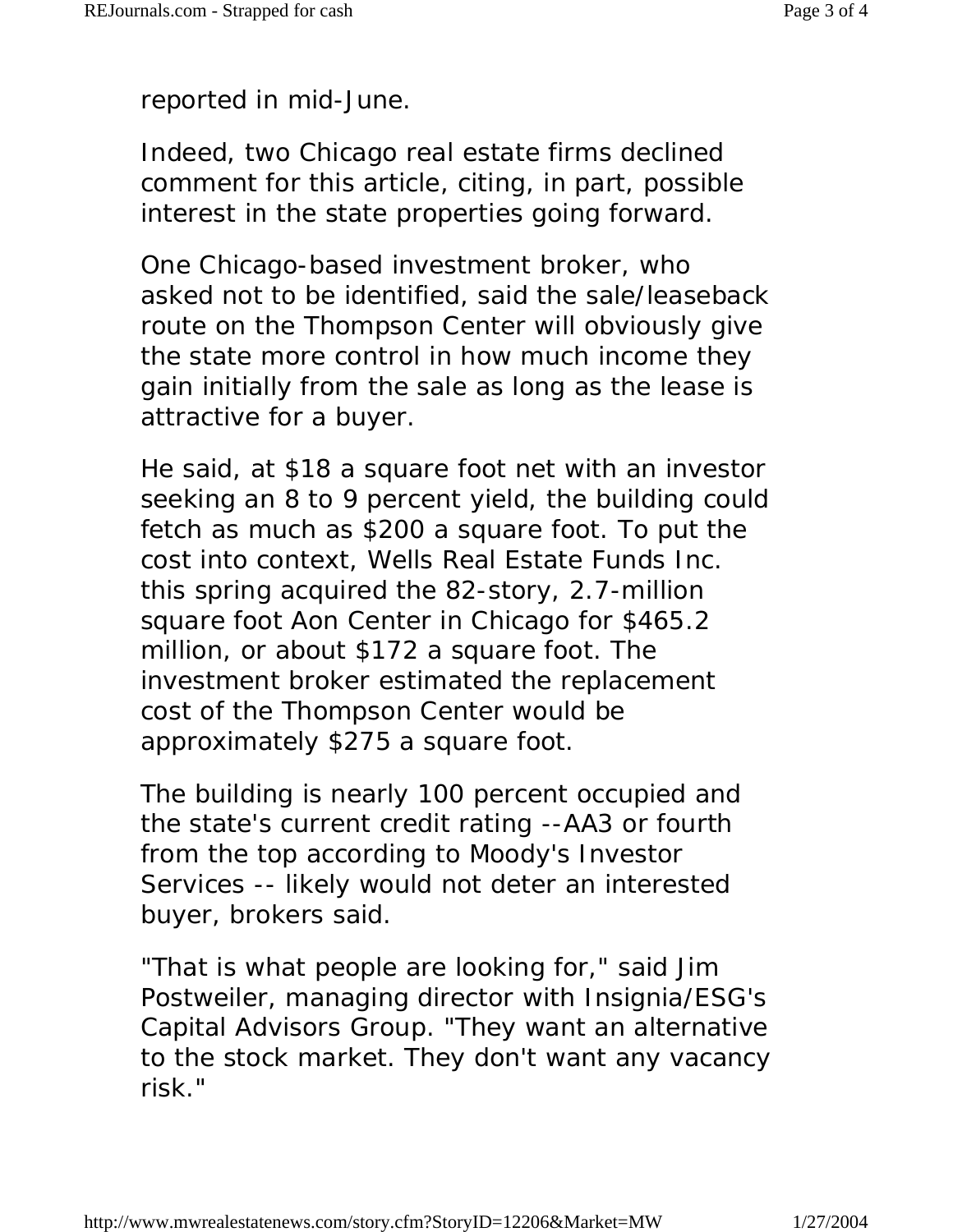reported in mid-June.

Indeed, two Chicago real estate firms declined comment for this article, citing, in part, possible interest in the state properties going forward.

One Chicago-based investment broker, who asked not to be identified, said the sale/leaseback route on the Thompson Center will obviously give the state more control in how much income they gain initially from the sale as long as the lease is attractive for a buyer.

He said, at \$18 a square foot net with an investor seeking an 8 to 9 percent yield, the building could fetch as much as \$200 a square foot. To put the cost into context, Wells Real Estate Funds Inc. this spring acquired the 82-story, 2.7-million square foot Aon Center in Chicago for \$465.2 million, or about \$172 a square foot. The investment broker estimated the replacement cost of the Thompson Center would be approximately \$275 a square foot.

The building is nearly 100 percent occupied and the state's current credit rating --AA3 or fourth from the top according to Moody's Investor Services -- likely would not deter an interested buyer, brokers said.

"That is what people are looking for," said Jim Postweiler, managing director with Insignia/ESG's Capital Advisors Group. "They want an alternative to the stock market. They don't want any vacancy risk."